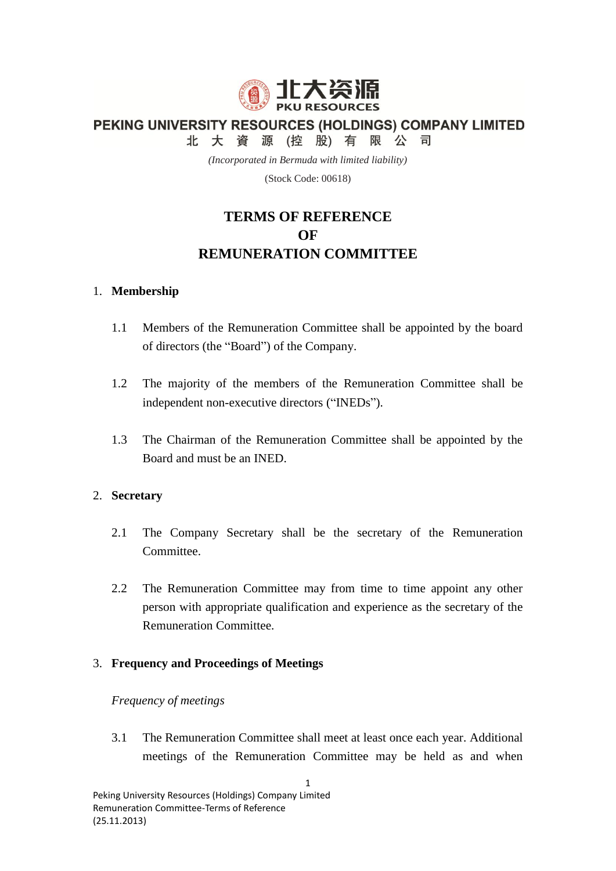

PEKING UNIVERSITY RESOURCES (HOLDINGS) COMPANY LIMITED

北大資源(控股)有限公司

*(Incorporated in Bermuda with limited liability)*

(Stock Code: 00618)

# **TERMS OF REFERENCE OF REMUNERATION COMMITTEE**

## 1. **Membership**

- 1.1 Members of the Remuneration Committee shall be appointed by the board of directors (the "Board") of the Company.
- 1.2 The majority of the members of the Remuneration Committee shall be independent non-executive directors ("INEDs").
- 1.3 The Chairman of the Remuneration Committee shall be appointed by the Board and must be an INED.

# 2. **Secretary**

- 2.1 The Company Secretary shall be the secretary of the Remuneration Committee.
- 2.2 The Remuneration Committee may from time to time appoint any other person with appropriate qualification and experience as the secretary of the Remuneration Committee.

# 3. **Frequency and Proceedings of Meetings**

#### *Frequency of meetings*

3.1 The Remuneration Committee shall meet at least once each year. Additional meetings of the Remuneration Committee may be held as and when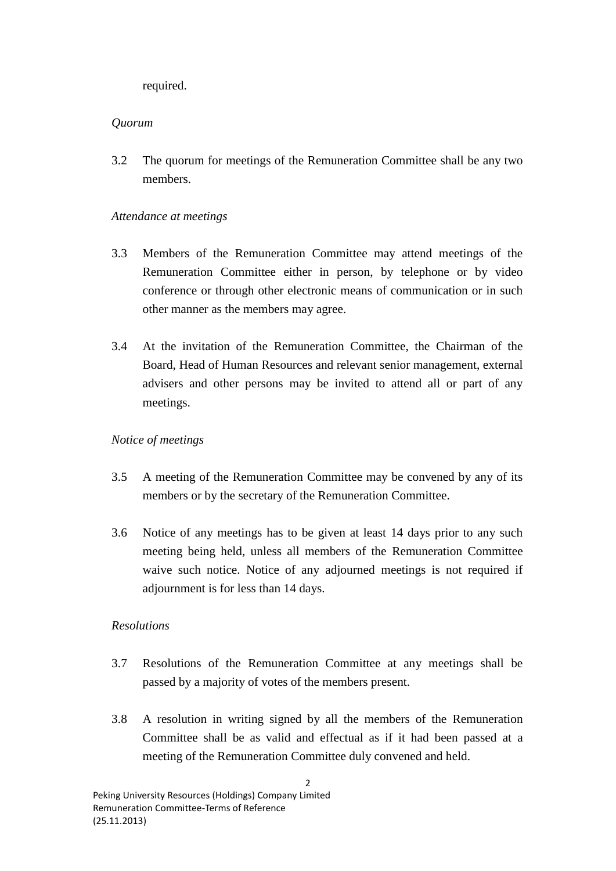required.

## *Quorum*

3.2 The quorum for meetings of the Remuneration Committee shall be any two members.

## *Attendance at meetings*

- 3.3 Members of the Remuneration Committee may attend meetings of the Remuneration Committee either in person, by telephone or by video conference or through other electronic means of communication or in such other manner as the members may agree.
- 3.4 At the invitation of the Remuneration Committee, the Chairman of the Board, Head of Human Resources and relevant senior management, external advisers and other persons may be invited to attend all or part of any meetings.

## *Notice of meetings*

- 3.5 A meeting of the Remuneration Committee may be convened by any of its members or by the secretary of the Remuneration Committee.
- 3.6 Notice of any meetings has to be given at least 14 days prior to any such meeting being held, unless all members of the Remuneration Committee waive such notice. Notice of any adjourned meetings is not required if adjournment is for less than 14 days.

# *Resolutions*

- 3.7 Resolutions of the Remuneration Committee at any meetings shall be passed by a majority of votes of the members present.
- 3.8 A resolution in writing signed by all the members of the Remuneration Committee shall be as valid and effectual as if it had been passed at a meeting of the Remuneration Committee duly convened and held.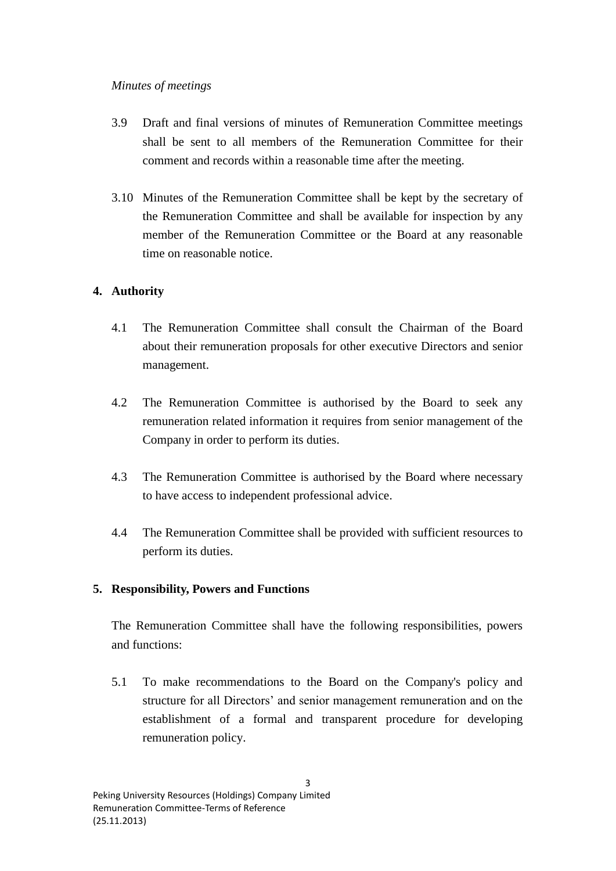#### *Minutes of meetings*

- 3.9 Draft and final versions of minutes of Remuneration Committee meetings shall be sent to all members of the Remuneration Committee for their comment and records within a reasonable time after the meeting.
- 3.10 Minutes of the Remuneration Committee shall be kept by the secretary of the Remuneration Committee and shall be available for inspection by any member of the Remuneration Committee or the Board at any reasonable time on reasonable notice.

## **4. Authority**

- 4.1 The Remuneration Committee shall consult the Chairman of the Board about their remuneration proposals for other executive Directors and senior management.
- 4.2 The Remuneration Committee is authorised by the Board to seek any remuneration related information it requires from senior management of the Company in order to perform its duties.
- 4.3 The Remuneration Committee is authorised by the Board where necessary to have access to independent professional advice.
- 4.4 The Remuneration Committee shall be provided with sufficient resources to perform its duties.

#### **5. Responsibility, Powers and Functions**

The Remuneration Committee shall have the following responsibilities, powers and functions:

5.1 To make recommendations to the Board on the Company's policy and structure for all Directors' and senior management remuneration and on the establishment of a formal and transparent procedure for developing remuneration policy.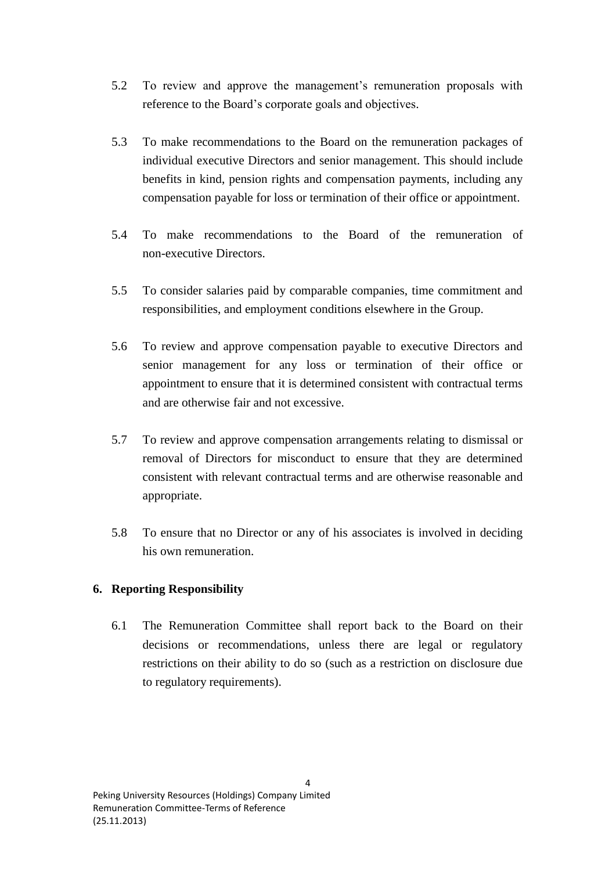- 5.2 To review and approve the management's remuneration proposals with reference to the Board's corporate goals and objectives.
- 5.3 To make recommendations to the Board on the remuneration packages of individual executive Directors and senior management. This should include benefits in kind, pension rights and compensation payments, including any compensation payable for loss or termination of their office or appointment.
- 5.4 To make recommendations to the Board of the remuneration of non-executive Directors.
- 5.5 To consider salaries paid by comparable companies, time commitment and responsibilities, and employment conditions elsewhere in the Group.
- 5.6 To review and approve compensation payable to executive Directors and senior management for any loss or termination of their office or appointment to ensure that it is determined consistent with contractual terms and are otherwise fair and not excessive.
- 5.7 To review and approve compensation arrangements relating to dismissal or removal of Directors for misconduct to ensure that they are determined consistent with relevant contractual terms and are otherwise reasonable and appropriate.
- 5.8 To ensure that no Director or any of his associates is involved in deciding his own remuneration.

# **6. Reporting Responsibility**

6.1 The Remuneration Committee shall report back to the Board on their decisions or recommendations, unless there are legal or regulatory restrictions on their ability to do so (such as a restriction on disclosure due to regulatory requirements).